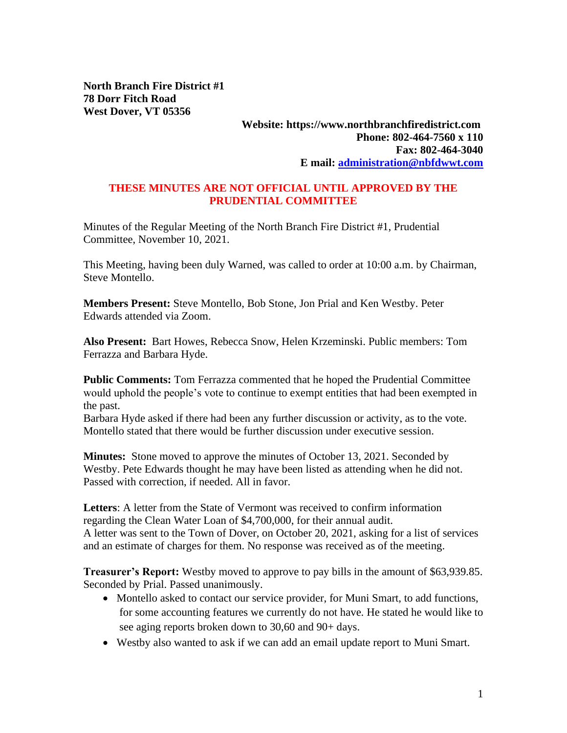**North Branch Fire District #1 78 Dorr Fitch Road West Dover, VT 05356**

### **Website: https://www.northbranchfiredistrict.com Phone: 802-464-7560 x 110 Fax: 802-464-3040 E mail: [administration@nbfdwwt.com](mailto:administration@nbfdwwt.com)**

### **THESE MINUTES ARE NOT OFFICIAL UNTIL APPROVED BY THE PRUDENTIAL COMMITTEE**

Minutes of the Regular Meeting of the North Branch Fire District #1, Prudential Committee, November 10, 2021.

This Meeting, having been duly Warned, was called to order at 10:00 a.m. by Chairman, Steve Montello.

**Members Present:** Steve Montello, Bob Stone, Jon Prial and Ken Westby. Peter Edwards attended via Zoom.

**Also Present:** Bart Howes, Rebecca Snow, Helen Krzeminski. Public members: Tom Ferrazza and Barbara Hyde.

**Public Comments:** Tom Ferrazza commented that he hoped the Prudential Committee would uphold the people's vote to continue to exempt entities that had been exempted in the past.

Barbara Hyde asked if there had been any further discussion or activity, as to the vote. Montello stated that there would be further discussion under executive session.

**Minutes:** Stone moved to approve the minutes of October 13, 2021. Seconded by Westby. Pete Edwards thought he may have been listed as attending when he did not. Passed with correction, if needed. All in favor.

**Letters**: A letter from the State of Vermont was received to confirm information regarding the Clean Water Loan of \$4,700,000, for their annual audit. A letter was sent to the Town of Dover, on October 20, 2021, asking for a list of services and an estimate of charges for them. No response was received as of the meeting.

**Treasurer's Report:** Westby moved to approve to pay bills in the amount of \$63,939.85. Seconded by Prial. Passed unanimously.

- Montello asked to contact our service provider, for Muni Smart, to add functions, for some accounting features we currently do not have. He stated he would like to see aging reports broken down to 30,60 and 90+ days.
- Westby also wanted to ask if we can add an email update report to Muni Smart.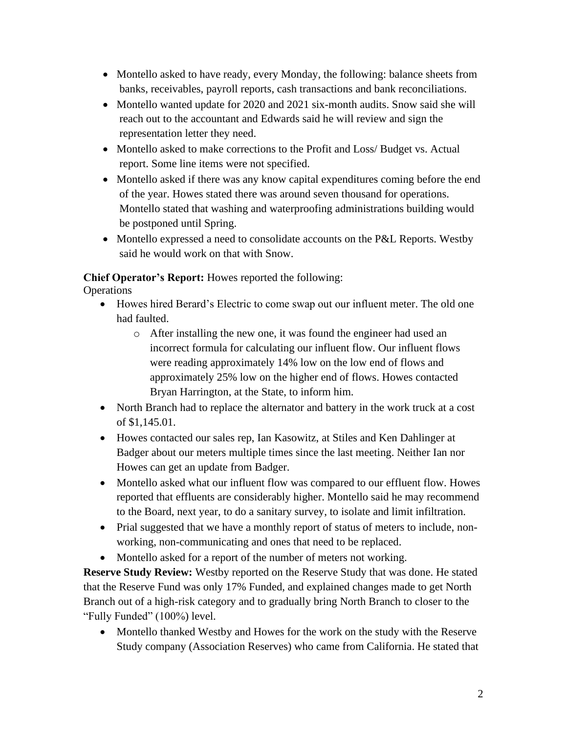- Montello asked to have ready, every Monday, the following: balance sheets from banks, receivables, payroll reports, cash transactions and bank reconciliations.
- Montello wanted update for 2020 and 2021 six-month audits. Snow said she will reach out to the accountant and Edwards said he will review and sign the representation letter they need.
- Montello asked to make corrections to the Profit and Loss/Budget vs. Actual report. Some line items were not specified.
- Montello asked if there was any know capital expenditures coming before the end of the year. Howes stated there was around seven thousand for operations. Montello stated that washing and waterproofing administrations building would be postponed until Spring.
- Montello expressed a need to consolidate accounts on the P&L Reports. Westby said he would work on that with Snow.

# **Chief Operator's Report:** Howes reported the following:

**Operations** 

- Howes hired Berard's Electric to come swap out our influent meter. The old one had faulted.
	- o After installing the new one, it was found the engineer had used an incorrect formula for calculating our influent flow. Our influent flows were reading approximately 14% low on the low end of flows and approximately 25% low on the higher end of flows. Howes contacted Bryan Harrington, at the State, to inform him.
- North Branch had to replace the alternator and battery in the work truck at a cost of \$1,145.01.
- Howes contacted our sales rep, Ian Kasowitz, at Stiles and Ken Dahlinger at Badger about our meters multiple times since the last meeting. Neither Ian nor Howes can get an update from Badger.
- Montello asked what our influent flow was compared to our effluent flow. Howes reported that effluents are considerably higher. Montello said he may recommend to the Board, next year, to do a sanitary survey, to isolate and limit infiltration.
- Prial suggested that we have a monthly report of status of meters to include, nonworking, non-communicating and ones that need to be replaced.
- Montello asked for a report of the number of meters not working.

**Reserve Study Review:** Westby reported on the Reserve Study that was done. He stated that the Reserve Fund was only 17% Funded, and explained changes made to get North Branch out of a high-risk category and to gradually bring North Branch to closer to the "Fully Funded" (100%) level.

• Montello thanked Westby and Howes for the work on the study with the Reserve Study company (Association Reserves) who came from California. He stated that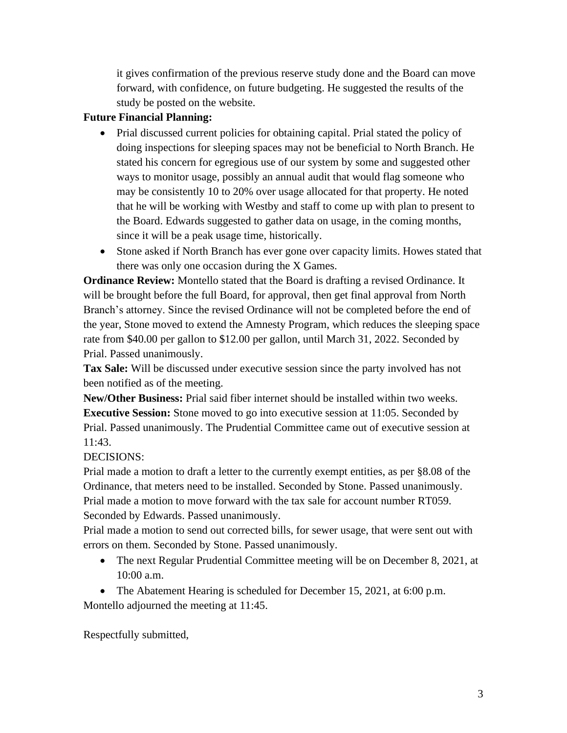it gives confirmation of the previous reserve study done and the Board can move forward, with confidence, on future budgeting. He suggested the results of the study be posted on the website.

## **Future Financial Planning:**

- Prial discussed current policies for obtaining capital. Prial stated the policy of doing inspections for sleeping spaces may not be beneficial to North Branch. He stated his concern for egregious use of our system by some and suggested other ways to monitor usage, possibly an annual audit that would flag someone who may be consistently 10 to 20% over usage allocated for that property. He noted that he will be working with Westby and staff to come up with plan to present to the Board. Edwards suggested to gather data on usage, in the coming months, since it will be a peak usage time, historically.
- Stone asked if North Branch has ever gone over capacity limits. Howes stated that there was only one occasion during the X Games.

**Ordinance Review:** Montello stated that the Board is drafting a revised Ordinance. It will be brought before the full Board, for approval, then get final approval from North Branch's attorney. Since the revised Ordinance will not be completed before the end of the year, Stone moved to extend the Amnesty Program, which reduces the sleeping space rate from \$40.00 per gallon to \$12.00 per gallon, until March 31, 2022. Seconded by Prial. Passed unanimously.

**Tax Sale:** Will be discussed under executive session since the party involved has not been notified as of the meeting.

**New/Other Business:** Prial said fiber internet should be installed within two weeks. **Executive Session:** Stone moved to go into executive session at 11:05. Seconded by Prial. Passed unanimously. The Prudential Committee came out of executive session at 11:43.

## DECISIONS:

Prial made a motion to draft a letter to the currently exempt entities, as per §8.08 of the Ordinance, that meters need to be installed. Seconded by Stone. Passed unanimously. Prial made a motion to move forward with the tax sale for account number RT059. Seconded by Edwards. Passed unanimously.

Prial made a motion to send out corrected bills, for sewer usage, that were sent out with errors on them. Seconded by Stone. Passed unanimously.

- The next Regular Prudential Committee meeting will be on December 8, 2021, at 10:00 a.m.
- The Abatement Hearing is scheduled for December 15, 2021, at 6:00 p.m.

Montello adjourned the meeting at 11:45.

Respectfully submitted,